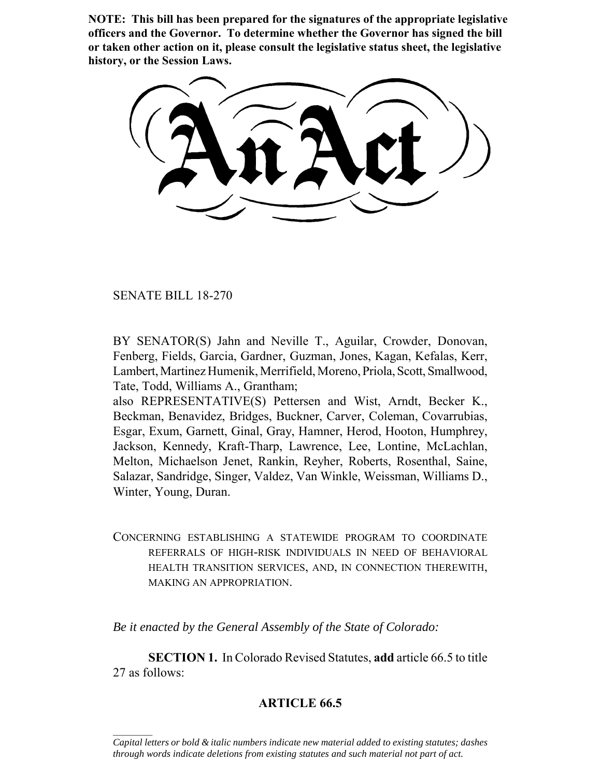**NOTE: This bill has been prepared for the signatures of the appropriate legislative officers and the Governor. To determine whether the Governor has signed the bill or taken other action on it, please consult the legislative status sheet, the legislative history, or the Session Laws.**

SENATE BILL 18-270

 $\frac{1}{2}$ 

BY SENATOR(S) Jahn and Neville T., Aguilar, Crowder, Donovan, Fenberg, Fields, Garcia, Gardner, Guzman, Jones, Kagan, Kefalas, Kerr, Lambert, Martinez Humenik, Merrifield, Moreno, Priola, Scott, Smallwood, Tate, Todd, Williams A., Grantham;

also REPRESENTATIVE(S) Pettersen and Wist, Arndt, Becker K., Beckman, Benavidez, Bridges, Buckner, Carver, Coleman, Covarrubias, Esgar, Exum, Garnett, Ginal, Gray, Hamner, Herod, Hooton, Humphrey, Jackson, Kennedy, Kraft-Tharp, Lawrence, Lee, Lontine, McLachlan, Melton, Michaelson Jenet, Rankin, Reyher, Roberts, Rosenthal, Saine, Salazar, Sandridge, Singer, Valdez, Van Winkle, Weissman, Williams D., Winter, Young, Duran.

CONCERNING ESTABLISHING A STATEWIDE PROGRAM TO COORDINATE REFERRALS OF HIGH-RISK INDIVIDUALS IN NEED OF BEHAVIORAL HEALTH TRANSITION SERVICES, AND, IN CONNECTION THEREWITH, MAKING AN APPROPRIATION.

*Be it enacted by the General Assembly of the State of Colorado:*

**SECTION 1.** In Colorado Revised Statutes, **add** article 66.5 to title 27 as follows:

## **ARTICLE 66.5**

*Capital letters or bold & italic numbers indicate new material added to existing statutes; dashes through words indicate deletions from existing statutes and such material not part of act.*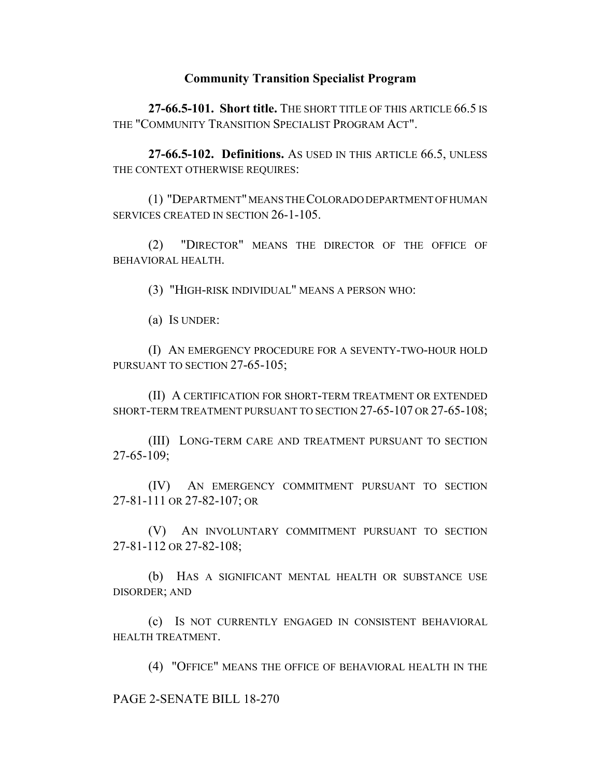## **Community Transition Specialist Program**

**27-66.5-101. Short title.** THE SHORT TITLE OF THIS ARTICLE 66.5 IS THE "COMMUNITY TRANSITION SPECIALIST PROGRAM ACT".

**27-66.5-102. Definitions.** AS USED IN THIS ARTICLE 66.5, UNLESS THE CONTEXT OTHERWISE REQUIRES:

(1) "DEPARTMENT" MEANS THE COLORADO DEPARTMENT OF HUMAN SERVICES CREATED IN SECTION 26-1-105.

(2) "DIRECTOR" MEANS THE DIRECTOR OF THE OFFICE OF BEHAVIORAL HEALTH.

(3) "HIGH-RISK INDIVIDUAL" MEANS A PERSON WHO:

(a) IS UNDER:

(I) AN EMERGENCY PROCEDURE FOR A SEVENTY-TWO-HOUR HOLD PURSUANT TO SECTION 27-65-105;

(II) A CERTIFICATION FOR SHORT-TERM TREATMENT OR EXTENDED SHORT-TERM TREATMENT PURSUANT TO SECTION 27-65-107 OR 27-65-108;

(III) LONG-TERM CARE AND TREATMENT PURSUANT TO SECTION 27-65-109;

(IV) AN EMERGENCY COMMITMENT PURSUANT TO SECTION 27-81-111 OR 27-82-107; OR

(V) AN INVOLUNTARY COMMITMENT PURSUANT TO SECTION 27-81-112 OR 27-82-108;

(b) HAS A SIGNIFICANT MENTAL HEALTH OR SUBSTANCE USE DISORDER; AND

(c) IS NOT CURRENTLY ENGAGED IN CONSISTENT BEHAVIORAL HEALTH TREATMENT.

(4) "OFFICE" MEANS THE OFFICE OF BEHAVIORAL HEALTH IN THE

PAGE 2-SENATE BILL 18-270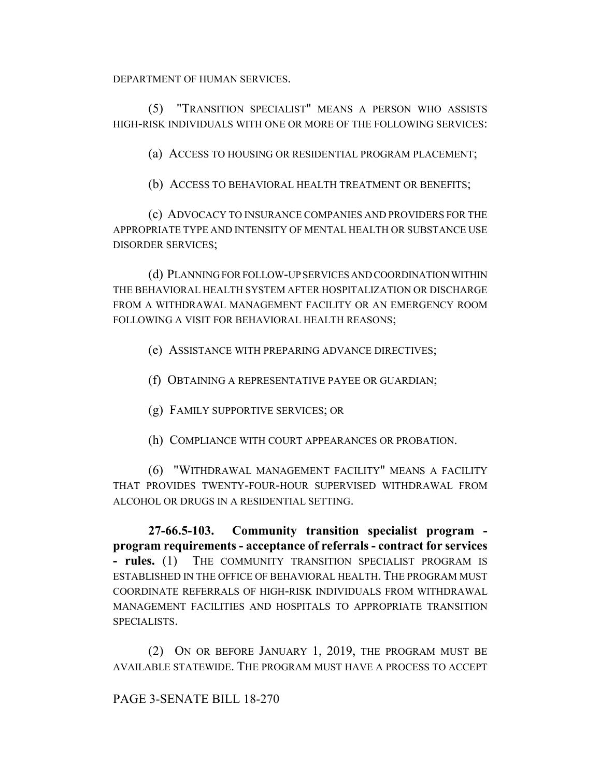DEPARTMENT OF HUMAN SERVICES.

(5) "TRANSITION SPECIALIST" MEANS A PERSON WHO ASSISTS HIGH-RISK INDIVIDUALS WITH ONE OR MORE OF THE FOLLOWING SERVICES:

(a) ACCESS TO HOUSING OR RESIDENTIAL PROGRAM PLACEMENT;

(b) ACCESS TO BEHAVIORAL HEALTH TREATMENT OR BENEFITS;

(c) ADVOCACY TO INSURANCE COMPANIES AND PROVIDERS FOR THE APPROPRIATE TYPE AND INTENSITY OF MENTAL HEALTH OR SUBSTANCE USE DISORDER SERVICES;

(d) PLANNING FOR FOLLOW-UP SERVICES AND COORDINATION WITHIN THE BEHAVIORAL HEALTH SYSTEM AFTER HOSPITALIZATION OR DISCHARGE FROM A WITHDRAWAL MANAGEMENT FACILITY OR AN EMERGENCY ROOM FOLLOWING A VISIT FOR BEHAVIORAL HEALTH REASONS;

(e) ASSISTANCE WITH PREPARING ADVANCE DIRECTIVES;

(f) OBTAINING A REPRESENTATIVE PAYEE OR GUARDIAN;

(g) FAMILY SUPPORTIVE SERVICES; OR

(h) COMPLIANCE WITH COURT APPEARANCES OR PROBATION.

(6) "WITHDRAWAL MANAGEMENT FACILITY" MEANS A FACILITY THAT PROVIDES TWENTY-FOUR-HOUR SUPERVISED WITHDRAWAL FROM ALCOHOL OR DRUGS IN A RESIDENTIAL SETTING.

**27-66.5-103. Community transition specialist program program requirements - acceptance of referrals - contract for services - rules.** (1) THE COMMUNITY TRANSITION SPECIALIST PROGRAM IS ESTABLISHED IN THE OFFICE OF BEHAVIORAL HEALTH. THE PROGRAM MUST COORDINATE REFERRALS OF HIGH-RISK INDIVIDUALS FROM WITHDRAWAL MANAGEMENT FACILITIES AND HOSPITALS TO APPROPRIATE TRANSITION SPECIALISTS.

(2) ON OR BEFORE JANUARY 1, 2019, THE PROGRAM MUST BE AVAILABLE STATEWIDE. THE PROGRAM MUST HAVE A PROCESS TO ACCEPT

PAGE 3-SENATE BILL 18-270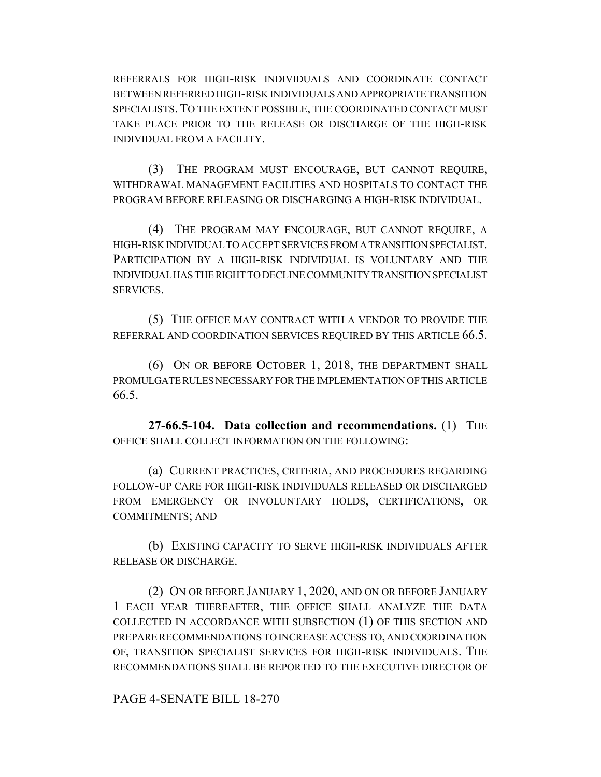REFERRALS FOR HIGH-RISK INDIVIDUALS AND COORDINATE CONTACT BETWEEN REFERRED HIGH-RISK INDIVIDUALS AND APPROPRIATE TRANSITION SPECIALISTS. TO THE EXTENT POSSIBLE, THE COORDINATED CONTACT MUST TAKE PLACE PRIOR TO THE RELEASE OR DISCHARGE OF THE HIGH-RISK INDIVIDUAL FROM A FACILITY.

(3) THE PROGRAM MUST ENCOURAGE, BUT CANNOT REQUIRE, WITHDRAWAL MANAGEMENT FACILITIES AND HOSPITALS TO CONTACT THE PROGRAM BEFORE RELEASING OR DISCHARGING A HIGH-RISK INDIVIDUAL.

(4) THE PROGRAM MAY ENCOURAGE, BUT CANNOT REQUIRE, A HIGH-RISK INDIVIDUAL TO ACCEPT SERVICES FROM A TRANSITION SPECIALIST. PARTICIPATION BY A HIGH-RISK INDIVIDUAL IS VOLUNTARY AND THE INDIVIDUAL HAS THE RIGHT TO DECLINE COMMUNITY TRANSITION SPECIALIST SERVICES.

(5) THE OFFICE MAY CONTRACT WITH A VENDOR TO PROVIDE THE REFERRAL AND COORDINATION SERVICES REQUIRED BY THIS ARTICLE 66.5.

(6) ON OR BEFORE OCTOBER 1, 2018, THE DEPARTMENT SHALL PROMULGATE RULES NECESSARY FOR THE IMPLEMENTATION OF THIS ARTICLE 66.5.

**27-66.5-104. Data collection and recommendations.** (1) THE OFFICE SHALL COLLECT INFORMATION ON THE FOLLOWING:

(a) CURRENT PRACTICES, CRITERIA, AND PROCEDURES REGARDING FOLLOW-UP CARE FOR HIGH-RISK INDIVIDUALS RELEASED OR DISCHARGED FROM EMERGENCY OR INVOLUNTARY HOLDS, CERTIFICATIONS, OR COMMITMENTS; AND

(b) EXISTING CAPACITY TO SERVE HIGH-RISK INDIVIDUALS AFTER RELEASE OR DISCHARGE.

(2) ON OR BEFORE JANUARY 1, 2020, AND ON OR BEFORE JANUARY 1 EACH YEAR THEREAFTER, THE OFFICE SHALL ANALYZE THE DATA COLLECTED IN ACCORDANCE WITH SUBSECTION (1) OF THIS SECTION AND PREPARE RECOMMENDATIONS TO INCREASE ACCESS TO, AND COORDINATION OF, TRANSITION SPECIALIST SERVICES FOR HIGH-RISK INDIVIDUALS. THE RECOMMENDATIONS SHALL BE REPORTED TO THE EXECUTIVE DIRECTOR OF

PAGE 4-SENATE BILL 18-270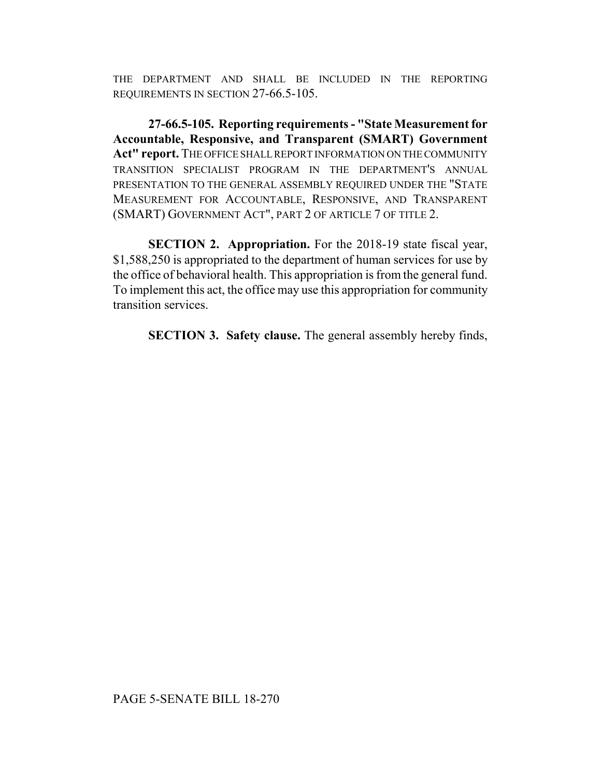THE DEPARTMENT AND SHALL BE INCLUDED IN THE REPORTING REQUIREMENTS IN SECTION 27-66.5-105.

**27-66.5-105. Reporting requirements - "State Measurement for Accountable, Responsive, and Transparent (SMART) Government Act" report.** THE OFFICE SHALL REPORT INFORMATION ON THE COMMUNITY TRANSITION SPECIALIST PROGRAM IN THE DEPARTMENT'S ANNUAL PRESENTATION TO THE GENERAL ASSEMBLY REQUIRED UNDER THE "STATE MEASUREMENT FOR ACCOUNTABLE, RESPONSIVE, AND TRANSPARENT (SMART) GOVERNMENT ACT", PART 2 OF ARTICLE 7 OF TITLE 2.

**SECTION 2. Appropriation.** For the 2018-19 state fiscal year, \$1,588,250 is appropriated to the department of human services for use by the office of behavioral health. This appropriation is from the general fund. To implement this act, the office may use this appropriation for community transition services.

**SECTION 3. Safety clause.** The general assembly hereby finds,